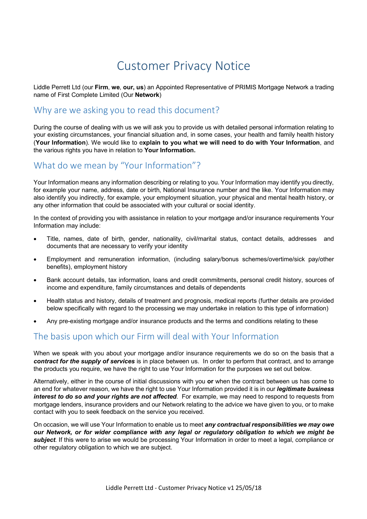# Customer Privacy Notice

Liddle Perrett Ltd (our **Firm**, **we**, **our, us**) an Appointed Representative of PRIMIS Mortgage Network a trading name of First Complete Limited (Our **Network**)

### Why are we asking you to read this document?

During the course of dealing with us we will ask you to provide us with detailed personal information relating to your existing circumstances, your financial situation and, in some cases, your health and family health history (**Your Information**). We would like to e**xplain to you what we will need to do with Your Information**, and the various rights you have in relation to **Your Information.**

### What do we mean by "Your Information"?

Your Information means any information describing or relating to you. Your Information may identify you directly, for example your name, address, date or birth, National Insurance number and the like. Your Information may also identify you indirectly, for example, your employment situation, your physical and mental health history, or any other information that could be associated with your cultural or social identity.

In the context of providing you with assistance in relation to your mortgage and/or insurance requirements Your Information may include:

- Title, names, date of birth, gender, nationality, civil/marital status, contact details, addresses and documents that are necessary to verify your identity
- Employment and remuneration information, (including salary/bonus schemes/overtime/sick pay/other benefits), employment history
- Bank account details, tax information, loans and credit commitments, personal credit history, sources of income and expenditure, family circumstances and details of dependents
- Health status and history, details of treatment and prognosis, medical reports (further details are provided below specifically with regard to the processing we may undertake in relation to this type of information)
- Any pre-existing mortgage and/or insurance products and the terms and conditions relating to these

#### The basis upon which our Firm will deal with Your Information

When we speak with you about your mortgage and/or insurance requirements we do so on the basis that a *contract for the supply of services* is in place between us. In order to perform that contract, and to arrange the products you require, we have the right to use Your Information for the purposes we set out below.

Alternatively, either in the course of initial discussions with you **or** when the contract between us has come to an end for whatever reason, we have the right to use Your Information provided it is in our *legitimate business interest to do so and your rights are not affected*. For example, we may need to respond to requests from mortgage lenders, insurance providers and our Network relating to the advice we have given to you, or to make contact with you to seek feedback on the service you received.

On occasion, we will use Your Information to enable us to meet *any contractual responsibilities we may owe our Network, or for wider compliance with any legal or regulatory obligation to which we might be subject*. If this were to arise we would be processing Your Information in order to meet a legal, compliance or other regulatory obligation to which we are subject.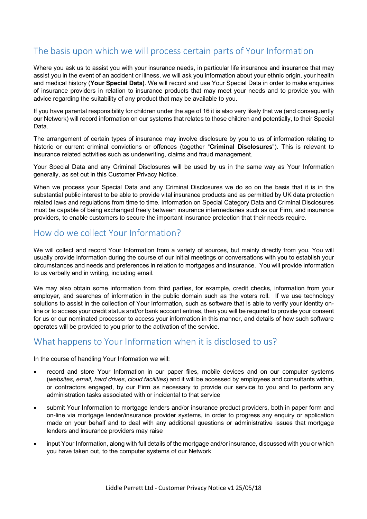## The basis upon which we will process certain parts of Your Information

Where you ask us to assist you with your insurance needs, in particular life insurance and insurance that may assist you in the event of an accident or illness, we will ask you information about your ethnic origin, your health and medical history (**Your Special Data)**. We will record and use Your Special Data in order to make enquiries of insurance providers in relation to insurance products that may meet your needs and to provide you with advice regarding the suitability of any product that may be available to you.

If you have parental responsibility for children under the age of 16 it is also very likely that we (and consequently our Network) will record information on our systems that relates to those children and potentially, to their Special Data.

The arrangement of certain types of insurance may involve disclosure by you to us of information relating to historic or current criminal convictions or offences (together "**Criminal Disclosures**"). This is relevant to insurance related activities such as underwriting, claims and fraud management.

Your Special Data and any Criminal Disclosures will be used by us in the same way as Your Information generally, as set out in this Customer Privacy Notice.

When we process your Special Data and any Criminal Disclosures we do so on the basis that it is in the substantial public interest to be able to provide vital insurance products and as permitted by UK data protection related laws and regulations from time to time. Information on Special Category Data and Criminal Disclosures must be capable of being exchanged freely between insurance intermediaries such as our Firm, and insurance providers, to enable customers to secure the important insurance protection that their needs require.

### How do we collect Your Information?

We will collect and record Your Information from a variety of sources, but mainly directly from you. You will usually provide information during the course of our initial meetings or conversations with you to establish your circumstances and needs and preferences in relation to mortgages and insurance. You will provide information to us verbally and in writing, including email.

We may also obtain some information from third parties, for example, credit checks, information from your employer, and searches of information in the public domain such as the voters roll. If we use technology solutions to assist in the collection of Your Information, such as software that is able to verify your identity online or to access your credit status and/or bank account entries, then you will be required to provide your consent for us or our nominated processor to access your information in this manner, and details of how such software operates will be provided to you prior to the activation of the service.

#### What happens to Your Information when it is disclosed to us?

In the course of handling Your Information we will:

- record and store Your Information in our paper files, mobile devices and on our computer systems (*websites, email, hard drives, cloud facilities*) and it will be accessed by employees and consultants within, or contractors engaged, by our Firm as necessary to provide our service to you and to perform any administration tasks associated with or incidental to that service
- submit Your Information to mortgage lenders and/or insurance product providers, both in paper form and on-line via mortgage lender/insurance provider systems, in order to progress any enquiry or application made on your behalf and to deal with any additional questions or administrative issues that mortgage lenders and insurance providers may raise
- input Your Information, along with full details of the mortgage and/or insurance, discussed with you or which you have taken out, to the computer systems of our Network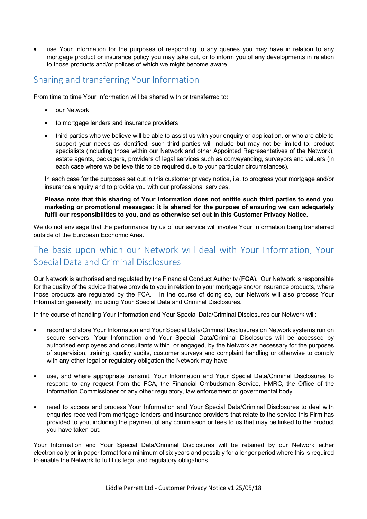use Your Information for the purposes of responding to any queries you may have in relation to any mortgage product or insurance policy you may take out, or to inform you of any developments in relation to those products and/or polices of which we might become aware

#### Sharing and transferring Your Information

From time to time Your Information will be shared with or transferred to:

- our Network
- to mortgage lenders and insurance providers
- third parties who we believe will be able to assist us with your enquiry or application, or who are able to support your needs as identified, such third parties will include but may not be limited to, product specialists (including those within our Network and other Appointed Representatives of the Network), estate agents, packagers, providers of legal services such as conveyancing, surveyors and valuers (in each case where we believe this to be required due to your particular circumstances).

In each case for the purposes set out in this customer privacy notice, i.e. to progress your mortgage and/or insurance enquiry and to provide you with our professional services.

**Please note that this sharing of Your Information does not entitle such third parties to send you marketing or promotional messages: it is shared for the purpose of ensuring we can adequately fulfil our responsibilities to you, and as otherwise set out in this Customer Privacy Notice.**

We do not envisage that the performance by us of our service will involve Your Information being transferred outside of the European Economic Area.

# The basis upon which our Network will deal with Your Information, Your Special Data and Criminal Disclosures

Our Network is authorised and regulated by the Financial Conduct Authority (**FCA**). Our Network is responsible for the quality of the advice that we provide to you in relation to your mortgage and/or insurance products, where those products are regulated by the FCA. In the course of doing so, our Network will also process Your Information generally, including Your Special Data and Criminal Disclosures.

In the course of handling Your Information and Your Special Data/Criminal Disclosures our Network will:

- record and store Your Information and Your Special Data/Criminal Disclosures on Network systems run on secure servers. Your Information and Your Special Data/Criminal Disclosures will be accessed by authorised employees and consultants within, or engaged, by the Network as necessary for the purposes of supervision, training, quality audits, customer surveys and complaint handling or otherwise to comply with any other legal or regulatory obligation the Network may have
- use, and where appropriate transmit, Your Information and Your Special Data/Criminal Disclosures to respond to any request from the FCA, the Financial Ombudsman Service, HMRC, the Office of the Information Commissioner or any other regulatory, law enforcement or governmental body
- need to access and process Your Information and Your Special Data/Criminal Disclosures to deal with enquiries received from mortgage lenders and insurance providers that relate to the service this Firm has provided to you, including the payment of any commission or fees to us that may be linked to the product you have taken out.

Your Information and Your Special Data/Criminal Disclosures will be retained by our Network either electronically or in paper format for a minimum of six years and possibly for a longer period where this is required to enable the Network to fulfil its legal and regulatory obligations.